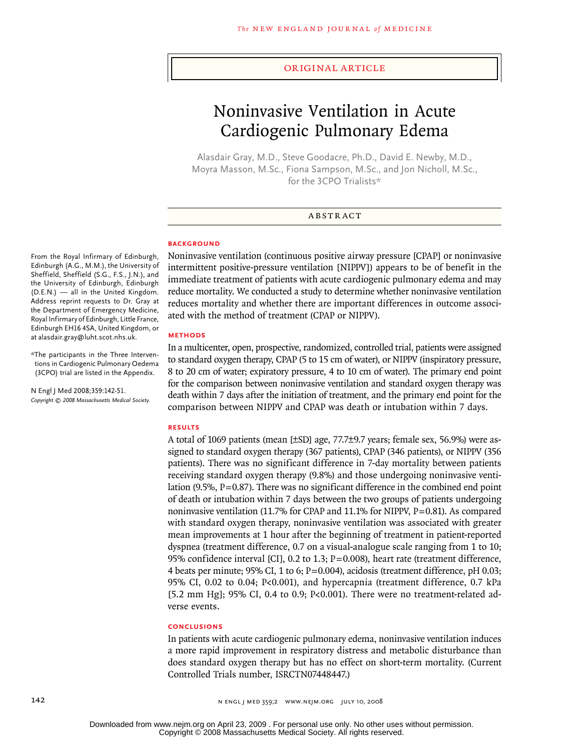#### original article

# Noninvasive Ventilation in Acute Cardiogenic Pulmonary Edema

Alasdair Gray, M.D., Steve Goodacre, Ph.D., David E. Newby, M.D., Moyra Masson, M.Sc., Fiona Sampson, M.Sc., and Jon Nicholl, M.Sc., for the 3CPO Trialists\*

#### **ABSTRACT**

#### **BACKGROUND**

Noninvasive ventilation (continuous positive airway pressure [CPAP] or noninvasive intermittent positive-pressure ventilation [NIPPV]) appears to be of benefit in the immediate treatment of patients with acute cardiogenic pulmonary edema and may reduce mortality. We conducted a study to determine whether noninvasive ventilation reduces mortality and whether there are important differences in outcome associated with the method of treatment (CPAP or NIPPV).

#### **Methods**

In a multicenter, open, prospective, randomized, controlled trial, patients were assigned to standard oxygen therapy, CPAP (5 to 15 cm of water), or NIPPV (inspiratory pressure, 8 to 20 cm of water; expiratory pressure, 4 to 10 cm of water). The primary end point for the comparison between noninvasive ventilation and standard oxygen therapy was death within 7 days after the initiation of treatment, and the primary end point for the comparison between NIPPV and CPAP was death or intubation within 7 days.

#### **Results**

A total of 1069 patients (mean [±SD] age, 77.7±9.7 years; female sex, 56.9%) were assigned to standard oxygen therapy (367 patients), CPAP (346 patients), or NIPPV (356 patients). There was no significant difference in 7-day mortality between patients receiving standard oxygen therapy (9.8%) and those undergoing noninvasive ventilation (9.5%, P=0.87). There was no significant difference in the combined end point of death or intubation within 7 days between the two groups of patients undergoing noninvasive ventilation (11.7% for CPAP and 11.1% for NIPPV,  $P=0.81$ ). As compared with standard oxygen therapy, noninvasive ventilation was associated with greater mean improvements at 1 hour after the beginning of treatment in patient-reported dyspnea (treatment difference, 0.7 on a visual-analogue scale ranging from 1 to 10; 95% confidence interval [CI], 0.2 to 1.3; P=0.008), heart rate (treatment difference, 4 beats per minute;  $95\%$  CI, 1 to 6; P=0.004), acidosis (treatment difference, pH 0.03; 95% CI, 0.02 to 0.04; P<0.001), and hypercapnia (treatment difference, 0.7 kPa [5.2 mm Hg]; 95% CI, 0.4 to 0.9; P<0.001). There were no treatment-related adverse events.

#### **Conclusions**

In patients with acute cardiogenic pulmonary edema, noninvasive ventilation induces a more rapid improvement in respiratory distress and metabolic disturbance than does standard oxygen therapy but has no effect on short-term mortality. (Current Controlled Trials number, ISRCTN07448447.)

From the Royal Infirmary of Edinburgh, Edinburgh (A.G., M.M.), the University of Sheffield, Sheffield (S.G., F.S., J.N.), and the University of Edinburgh, Edinburgh (D.E.N.) — all in the United Kingdom. Address reprint requests to Dr. Gray at the Department of Emergency Medicine, Royal Infirmary of Edinburgh, Little France, Edinburgh EH16 4SA, United Kingdom, or at alasdair.gray@luht.scot.nhs.uk.

\*The participants in the Three Interventions in Cardiogenic Pulmonary Oedema (3CPO) trial are listed in the Appendix.

N Engl J Med 2008;359:142-51. *Copyright © 2008 Massachusetts Medical Society.*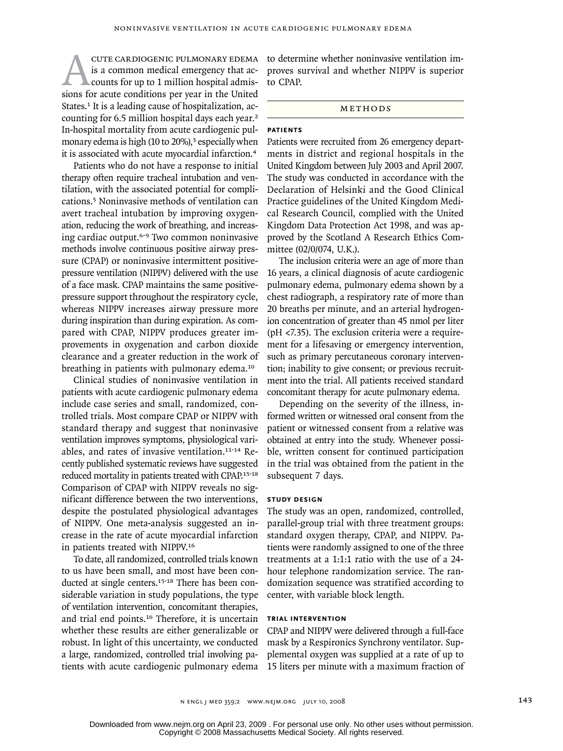CUTE CARDIOGENIC PULMONARY EDEMA<br>
is a common medical emergency that ac-<br>
counts for up to 1 million hospital admis-<br>
sions for acute conditions per year in the United is a common medical emergency that accounts for up to 1 million hospital admis-States.<sup>1</sup> It is a leading cause of hospitalization, accounting for 6.5 million hospital days each year.<sup>2</sup> In-hospital mortality from acute cardiogenic pulmonary edema is high (10 to 20%),<sup>3</sup> especially when it is associated with acute myocardial infarction.<sup>4</sup>

Patients who do not have a response to initial therapy often require tracheal intubation and ventilation, with the associated potential for complications.5 Noninvasive methods of ventilation can avert tracheal intubation by improving oxygenation, reducing the work of breathing, and increasing cardiac output.6-9 Two common noninvasive methods involve continuous positive airway pressure (CPAP) or noninvasive intermittent positivepressure ventilation (NIPPV) delivered with the use of a face mask. CPAP maintains the same positivepressure support throughout the respiratory cycle, whereas NIPPV increases airway pressure more during inspiration than during expiration. As compared with CPAP, NIPPV produces greater improvements in oxygenation and carbon dioxide clearance and a greater reduction in the work of breathing in patients with pulmonary edema.<sup>10</sup>

Clinical studies of noninvasive ventilation in patients with acute cardiogenic pulmonary edema include case series and small, randomized, controlled trials. Most compare CPAP or NIPPV with standard therapy and suggest that noninvasive ventilation improves symptoms, physiological variables, and rates of invasive ventilation.11-14 Recently published systematic reviews have suggested reduced mortality in patients treated with CPAP.15-18 Comparison of CPAP with NIPPV reveals no significant difference between the two interventions, despite the postulated physiological advantages of NIPPV. One meta-analysis suggested an increase in the rate of acute myocardial infarction in patients treated with NIPPV.<sup>16</sup>

To date, all randomized, controlled trials known to us have been small, and most have been conducted at single centers.<sup>15-18</sup> There has been considerable variation in study populations, the type of ventilation intervention, concomitant therapies, and trial end points.16 Therefore, it is uncertain whether these results are either generalizable or robust. In light of this uncertainty, we conducted a large, randomized, controlled trial involving patients with acute cardiogenic pulmonary edema to determine whether noninvasive ventilation improves survival and whether NIPPV is superior to CPAP.

#### METHODS

#### **Patients**

Patients were recruited from 26 emergency departments in district and regional hospitals in the United Kingdom between July 2003 and April 2007. The study was conducted in accordance with the Declaration of Helsinki and the Good Clinical Practice guidelines of the United Kingdom Medical Research Council, complied with the United Kingdom Data Protection Act 1998, and was approved by the Scotland A Research Ethics Committee (02/0/074, U.K.).

The inclusion criteria were an age of more than 16 years, a clinical diagnosis of acute cardiogenic pulmonary edema, pulmonary edema shown by a chest radiograph, a respiratory rate of more than 20 breaths per minute, and an arterial hydrogenion concentration of greater than 45 nmol per liter (pH <7.35). The exclusion criteria were a requirement for a lifesaving or emergency intervention, such as primary percutaneous coronary intervention; inability to give consent; or previous recruitment into the trial. All patients received standard concomitant therapy for acute pulmonary edema.

Depending on the severity of the illness, informed written or witnessed oral consent from the patient or witnessed consent from a relative was obtained at entry into the study. Whenever possible, written consent for continued participation in the trial was obtained from the patient in the subsequent 7 days.

#### **Study Design**

The study was an open, randomized, controlled, parallel-group trial with three treatment groups: standard oxygen therapy, CPAP, and NIPPV. Patients were randomly assigned to one of the three treatments at a 1:1:1 ratio with the use of a 24 hour telephone randomization service. The randomization sequence was stratified according to center, with variable block length.

#### **Trial Intervention**

CPAP and NIPPV were delivered through a full-face mask by a Respironics Synchrony ventilator. Supplemental oxygen was supplied at a rate of up to 15 liters per minute with a maximum fraction of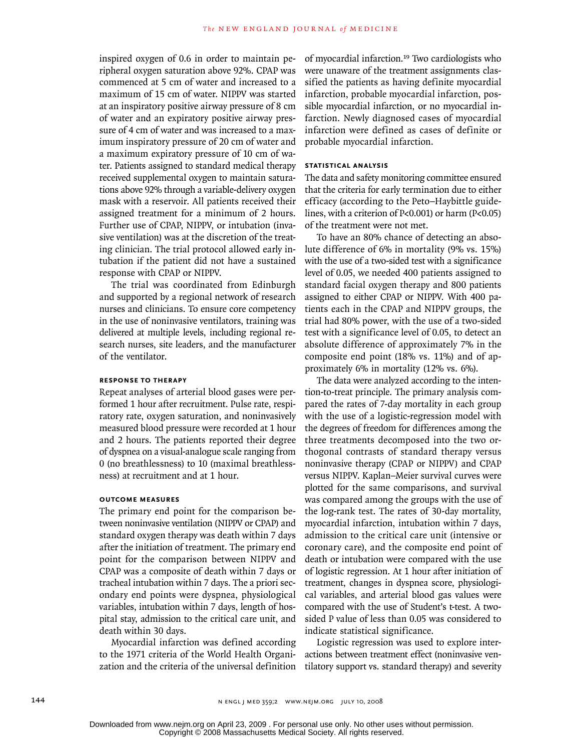inspired oxygen of 0.6 in order to maintain peripheral oxygen saturation above 92%. CPAP was commenced at 5 cm of water and increased to a maximum of 15 cm of water. NIPPV was started at an inspiratory positive airway pressure of 8 cm of water and an expiratory positive airway pressure of 4 cm of water and was increased to a maximum inspiratory pressure of 20 cm of water and a maximum expiratory pressure of 10 cm of water. Patients assigned to standard medical therapy received supplemental oxygen to maintain saturations above 92% through a variable-delivery oxygen mask with a reservoir. All patients received their assigned treatment for a minimum of 2 hours. Further use of CPAP, NIPPV, or intubation (invasive ventilation) was at the discretion of the treating clinician. The trial protocol allowed early intubation if the patient did not have a sustained response with CPAP or NIPPV.

The trial was coordinated from Edinburgh and supported by a regional network of research nurses and clinicians. To ensure core competency in the use of noninvasive ventilators, training was delivered at multiple levels, including regional research nurses, site leaders, and the manufacturer of the ventilator.

### **Response to Therapy**

Repeat analyses of arterial blood gases were performed 1 hour after recruitment. Pulse rate, respiratory rate, oxygen saturation, and noninvasively measured blood pressure were recorded at 1 hour and 2 hours. The patients reported their degree of dyspnea on a visual-analogue scale ranging from 0 (no breathlessness) to 10 (maximal breathlessness) at recruitment and at 1 hour.

#### **Outcome Measures**

The primary end point for the comparison between noninvasive ventilation (NIPPV or CPAP) and standard oxygen therapy was death within 7 days after the initiation of treatment. The primary end point for the comparison between NIPPV and CPAP was a composite of death within 7 days or tracheal intubation within 7 days. The a priori secondary end points were dyspnea, physiological variables, intubation within 7 days, length of hospital stay, admission to the critical care unit, and death within 30 days.

Myocardial infarction was defined according to the 1971 criteria of the World Health Organization and the criteria of the universal definition

of myocardial infarction.19 Two cardiologists who were unaware of the treatment assignments classified the patients as having definite myocardial infarction, probable myocardial infarction, possible myocardial infarction, or no myocardial infarction. Newly diagnosed cases of myocardial infarction were defined as cases of definite or probable myocardial infarction.

#### **Statistical Analysis**

The data and safety monitoring committee ensured that the criteria for early termination due to either efficacy (according to the Peto–Haybittle guidelines, with a criterion of P<0.001) or harm (P<0.05) of the treatment were not met.

To have an 80% chance of detecting an absolute difference of 6% in mortality (9% vs. 15%) with the use of a two-sided test with a significance level of 0.05, we needed 400 patients assigned to standard facial oxygen therapy and 800 patients assigned to either CPAP or NIPPV. With 400 patients each in the CPAP and NIPPV groups, the trial had 80% power, with the use of a two-sided test with a significance level of 0.05, to detect an absolute difference of approximately 7% in the composite end point (18% vs. 11%) and of approximately 6% in mortality (12% vs. 6%).

The data were analyzed according to the intention-to-treat principle. The primary analysis compared the rates of 7-day mortality in each group with the use of a logistic-regression model with the degrees of freedom for differences among the three treatments decomposed into the two orthogonal contrasts of standard therapy versus noninvasive therapy (CPAP or NIPPV) and CPAP versus NIPPV. Kaplan–Meier survival curves were plotted for the same comparisons, and survival was compared among the groups with the use of the log-rank test. The rates of 30-day mortality, myocardial infarction, intubation within 7 days, admission to the critical care unit (intensive or coronary care), and the composite end point of death or intubation were compared with the use of logistic regression. At 1 hour after initiation of treatment, changes in dyspnea score, physiological variables, and arterial blood gas values were compared with the use of Student's t-test. A twosided P value of less than 0.05 was considered to indicate statistical significance.

Logistic regression was used to explore interactions between treatment effect (noninvasive ventilatory support vs. standard therapy) and severity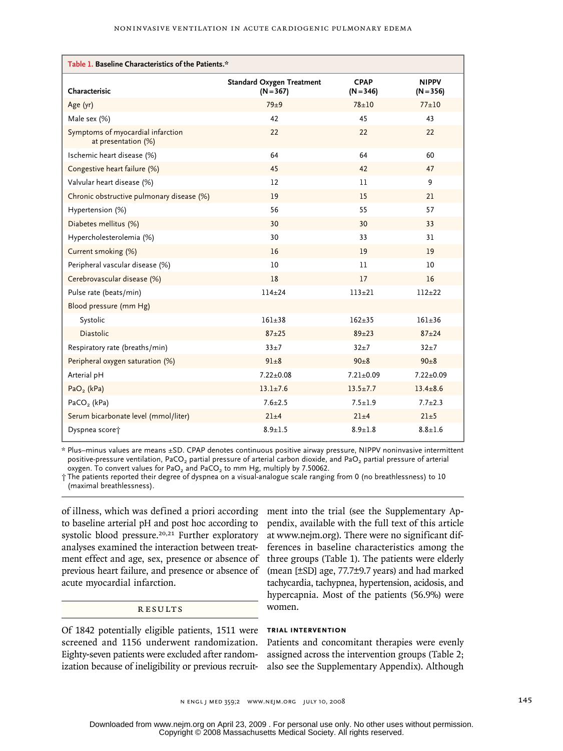| Table 1. Baseline Characteristics of the Patients.*      |                                                 |                            |                             |  |  |
|----------------------------------------------------------|-------------------------------------------------|----------------------------|-----------------------------|--|--|
| Characterisic                                            | <b>Standard Oxygen Treatment</b><br>$(N = 367)$ | <b>CPAP</b><br>$(N = 346)$ | <b>NIPPV</b><br>$(N = 356)$ |  |  |
| Age (yr)                                                 | $79 + 9$                                        | $78 + 10$                  | $77+10$                     |  |  |
| Male sex (%)                                             | 42                                              | 45                         | 43                          |  |  |
| Symptoms of myocardial infarction<br>at presentation (%) | 22                                              | 22                         | 22                          |  |  |
| Ischemic heart disease (%)                               | 64                                              | 64                         | 60                          |  |  |
| Congestive heart failure (%)                             | 45                                              | 42                         | 47                          |  |  |
| Valvular heart disease (%)                               | 12                                              | 11                         | 9                           |  |  |
| Chronic obstructive pulmonary disease (%)                | 19                                              | 15                         | 21                          |  |  |
| Hypertension (%)                                         | 56                                              | 55                         | 57                          |  |  |
| Diabetes mellitus (%)                                    | 30                                              | 30                         | 33                          |  |  |
| Hypercholesterolemia (%)                                 | 30                                              | 33                         | 31                          |  |  |
| Current smoking (%)                                      | 16                                              | 19                         | 19                          |  |  |
| Peripheral vascular disease (%)                          | 10                                              | 11                         | 10                          |  |  |
| Cerebrovascular disease (%)                              | 18                                              | 17                         | 16                          |  |  |
| Pulse rate (beats/min)                                   | $114 \pm 24$                                    | $113 + 21$                 | $112 + 22$                  |  |  |
| Blood pressure (mm Hg)                                   |                                                 |                            |                             |  |  |
| Systolic                                                 | $161 \pm 38$                                    | $162 + 35$                 | $161 \pm 36$                |  |  |
| <b>Diastolic</b>                                         | $87 + 25$                                       | $89 + 23$                  | $87 + 24$                   |  |  |
| Respiratory rate (breaths/min)                           | $33+7$                                          | $32 + 7$                   | $32 + 7$                    |  |  |
| Peripheral oxygen saturation (%)                         | $91 + 8$                                        | $90 + 8$                   | $90 + 8$                    |  |  |
| Arterial pH                                              | $7.22 + 0.08$                                   | $7.21 + 0.09$              | $7.22 + 0.09$               |  |  |
| $PaO2$ (kPa)                                             | $13.1 \pm 7.6$                                  | $13.5 \pm 7.7$             | $13.4 \pm 8.6$              |  |  |
| PaCO <sub>2</sub> (kPa)                                  | $7.6 + 2.5$                                     | $7.5 \pm 1.9$              | $7.7 + 2.3$                 |  |  |
| Serum bicarbonate level (mmol/liter)                     | $21 \pm 4$                                      | $21 \pm 4$                 | $21 \pm 5$                  |  |  |
| Dyspnea score <sup>+</sup>                               | $8.9 + 1.5$                                     | $8.9 + 1.8$                | $8.8 + 1.6$                 |  |  |

\* Plus–minus values are means ±SD. CPAP denotes continuous positive airway pressure, NIPPV noninvasive intermittent positive-pressure ventilation, PaCO<sub>2</sub> partial pressure of arterial carbon dioxide, and PaO<sub>2</sub> partial pressure of arterial oxygen. To convert values for PaO<sub>2</sub> and PaCO<sub>2</sub> to mm Hg, multiply by 7.50062.

† The patients reported their degree of dyspnea on a visual-analogue scale ranging from 0 (no breathlessness) to 10 (maximal breathlessness).

to baseline arterial pH and post hoc according to systolic blood pressure.<sup>20,21</sup> Further exploratory analyses examined the interaction between treatment effect and age, sex, presence or absence of previous heart failure, and presence or absence of acute myocardial infarction.

#### **RESULTS**

Of 1842 potentially eligible patients, 1511 were **Trial Intervention** screened and 1156 underwent randomization. Eighty-seven patients were excluded after randomization because of ineligibility or previous recruit-

of illness, which was defined a priori according ment into the trial (see the Supplementary Appendix, available with the full text of this article at www.nejm.org). There were no significant differences in baseline characteristics among the three groups (Table 1). The patients were elderly (mean [±SD] age, 77.7±9.7 years) and had marked tachycardia, tachypnea, hypertension, acidosis, and hypercapnia. Most of the patients (56.9%) were women.

Patients and concomitant therapies were evenly assigned across the intervention groups (Table 2; also see the Supplementary Appendix). Although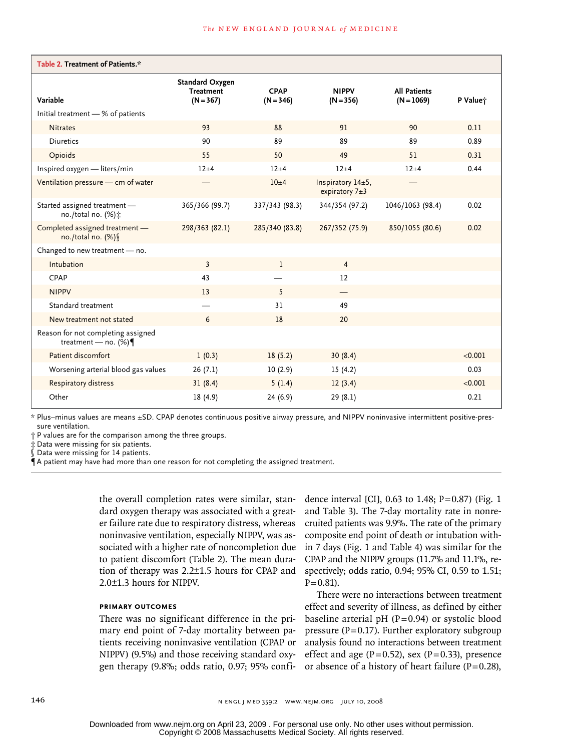| Table 2. Treatment of Patients.*                               |                                                           |                            |                                         |                                     |          |
|----------------------------------------------------------------|-----------------------------------------------------------|----------------------------|-----------------------------------------|-------------------------------------|----------|
| Variable<br>Initial treatment - % of patients                  | <b>Standard Oxygen</b><br><b>Treatment</b><br>$(N = 367)$ | <b>CPAP</b><br>$(N = 346)$ | <b>NIPPV</b><br>$(N = 356)$             | <b>All Patients</b><br>$(N = 1069)$ | P Value; |
| <b>Nitrates</b>                                                | 93                                                        | 88                         | 91                                      | 90                                  | 0.11     |
| <b>Diuretics</b>                                               | 90                                                        | 89                         | 89                                      | 89                                  | 0.89     |
| Opioids                                                        | 55                                                        | 50                         | 49                                      | 51                                  | 0.31     |
| Inspired oxygen - liters/min                                   | $12+4$                                                    | $12 + 4$                   | $12 + 4$                                | $12 + 4$                            | 0.44     |
| Ventilation pressure - cm of water                             |                                                           | $10\pm4$                   | Inspiratory 14±5,<br>expiratory $7\pm3$ |                                     |          |
| Started assigned treatment -<br>no./total no. (%) <sup>+</sup> | 365/366 (99.7)                                            | 337/343 (98.3)             | 344/354 (97.2)                          | 1046/1063 (98.4)                    | 0.02     |
| Completed assigned treatment -<br>no./total no. (%) §          | 298/363 (82.1)                                            | 285/340 (83.8)             | 267/352 (75.9)                          | 850/1055 (80.6)                     | 0.02     |
| Changed to new treatment - no.                                 |                                                           |                            |                                         |                                     |          |
| Intubation                                                     | $\overline{3}$                                            | $\mathbf{1}$               | $\overline{4}$                          |                                     |          |
| CPAP                                                           | 43                                                        |                            | 12                                      |                                     |          |
| <b>NIPPV</b>                                                   | 13                                                        | 5                          |                                         |                                     |          |
| Standard treatment                                             |                                                           | 31                         | 49                                      |                                     |          |
| New treatment not stated                                       | 6                                                         | 18                         | 20                                      |                                     |          |
| Reason for not completing assigned<br>treatment — no. $(\%)$   |                                                           |                            |                                         |                                     |          |
| Patient discomfort                                             | 1(0.3)                                                    | 18(5.2)                    | 30(8.4)                                 |                                     | < 0.001  |
| Worsening arterial blood gas values                            | 26(7.1)                                                   | 10(2.9)                    | 15(4.2)                                 |                                     | 0.03     |
| Respiratory distress                                           | 31(8.4)                                                   | 5(1.4)                     | 12(3.4)                                 |                                     | < 0.001  |
| Other                                                          | 18(4.9)                                                   | 24 (6.9)                   | 29(8.1)                                 |                                     | 0.21     |

\* Plus–minus values are means ±SD. CPAP denotes continuous positive airway pressure, and NIPPV noninvasive intermittent positive-pressure ventilation.

† P values are for the comparison among the three groups.

‡ Data were missing for six patients.

Data were missing for 14 patients.

¶A patient may have had more than one reason for not completing the assigned treatment.

the overall completion rates were similar, standard oxygen therapy was associated with a greater failure rate due to respiratory distress, whereas noninvasive ventilation, especially NIPPV, was associated with a higher rate of noncompletion due to patient discomfort (Table 2). The mean duration of therapy was 2.2±1.5 hours for CPAP and 2.0±1.3 hours for NIPPV.

#### **Primary Outcomes**

There was no significant difference in the primary end point of 7-day mortality between patients receiving noninvasive ventilation (CPAP or NIPPV) (9.5%) and those receiving standard oxygen therapy (9.8%; odds ratio, 0.97; 95% confidence interval [CI], 0.63 to 1.48; P=0.87) (Fig. 1 and Table 3). The 7-day mortality rate in nonrecruited patients was 9.9%. The rate of the primary composite end point of death or intubation within 7 days (Fig. 1 and Table 4) was similar for the CPAP and the NIPPV groups (11.7% and 11.1%, respectively; odds ratio, 0.94; 95% CI, 0.59 to 1.51;  $P = 0.81$ ).

There were no interactions between treatment effect and severity of illness, as defined by either baseline arterial pH  $(P=0.94)$  or systolic blood pressure ( $P=0.17$ ). Further exploratory subgroup analysis found no interactions between treatment effect and age ( $P=0.52$ ), sex ( $P=0.33$ ), presence or absence of a history of heart failure ( $P=0.28$ ),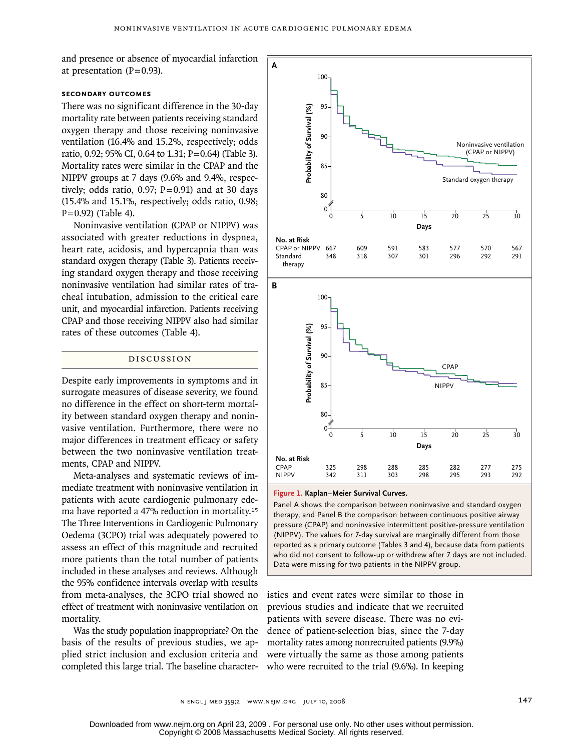and presence or absence of myocardial infarction at presentation  $(P=0.93)$ .

#### **Secondary Outcomes**

There was no significant difference in the 30-day mortality rate between patients receiving standard oxygen therapy and those receiving noninvasive ventilation (16.4% and 15.2%, respectively; odds ratio, 0.92; 95% CI, 0.64 to 1.31; P=0.64) (Table 3). Mortality rates were similar in the CPAP and the NIPPV groups at 7 days (9.6% and 9.4%, respectively; odds ratio, 0.97;  $P = 0.91$  and at 30 days (15.4% and 15.1%, respectively; odds ratio, 0.98;  $P=0.92$ ) (Table 4).

Noninvasive ventilation (CPAP or NIPPV) was associated with greater reductions in dyspnea, heart rate, acidosis, and hypercapnia than was standard oxygen therapy (Table 3). Patients receiving standard oxygen therapy and those receiving noninvasive ventilation had similar rates of tracheal intubation, admission to the critical care unit, and myocardial infarction. Patients receiving CPAP and those receiving NIPPV also had similar rates of these outcomes (Table 4).

## Discussion

Despite early improvements in symptoms and in surrogate measures of disease severity, we found no difference in the effect on short-term mortality between standard oxygen therapy and noninvasive ventilation. Furthermore, there were no major differences in treatment efficacy or safety between the two noninvasive ventilation treatments, CPAP and NIPPV.

Meta-analyses and systematic reviews of immediate treatment with noninvasive ventilation in patients with acute cardiogenic pulmonary edema have reported a 47% reduction in mortality.<sup>15</sup> The Three Interventions in Cardiogenic Pulmonary Oedema (3CPO) trial was adequately powered to assess an effect of this magnitude and recruited more patients than the total number of patients included in these analyses and reviews. Although the 95% confidence intervals overlap with results from meta-analyses, the 3CPO trial showed no effect of treatment with noninvasive ventilation on mortality.

Was the study population inappropriate? On the basis of the results of previous studies, we applied strict inclusion and exclusion criteria and completed this large trial. The baseline character-



#### **Figure 1. Kaplan–Meier Survival Curves.**

therapy, and Panel B the comparison between continuous positive airway pressure (CPAP) and noninvasive intermittent positive-pressure ventilation reported as a primary outcome (Tables 3 and 4), because data from patients who did not consent to follow-up of withdrew after 7 days Exported as a primary battome (rabits 5 and 4), because data nom patients<br>who did not consent to follow-up or withdrew after 7 days are not included. .<br>(NIPPV). The values for 7-day survival are marginally different from those Panel A shows the comparison between noninvasive and standard oxygen

**AUTHOR, PLEASE NOTE:**

istics and event rates were similar to those in previous studies and indicate that we recruited patients with severe disease. There was no evidence of patient-selection bias, since the 7-day mortality rates among nonrecruited patients (9.9%) were virtually the same as those among patients who were recruited to the trial (9.6%). In keeping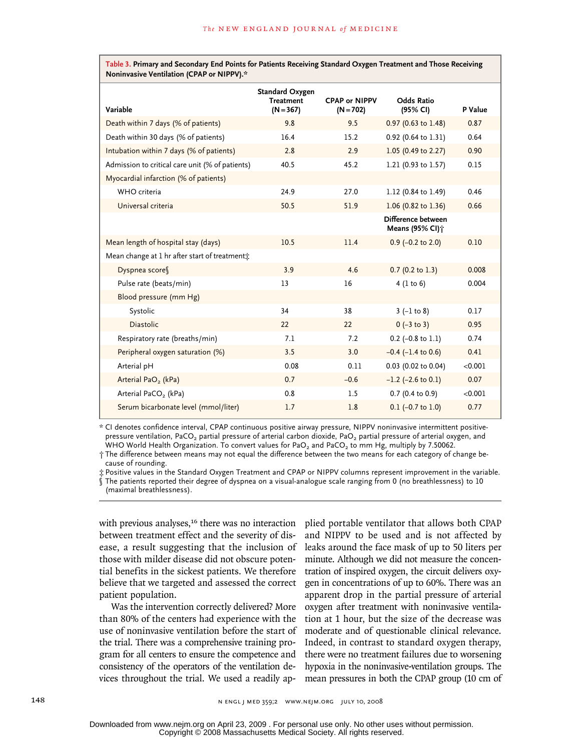**Table 3. Primary and Secondary End Points for Patients Receiving Standard Oxygen Treatment and Those Receiving Noninvasive Ventilation (CPAP or NIPPV).\***

| Variable                                        | <b>Standard Oxygen</b><br><b>Treatment</b><br>$(N = 367)$ | <b>CPAP or NIPPV</b><br>$(N = 702)$ | <b>Odds Ratio</b><br>(95% CI)          | P Value |
|-------------------------------------------------|-----------------------------------------------------------|-------------------------------------|----------------------------------------|---------|
| Death within 7 days (% of patients)             | 9.8                                                       | 9.5                                 | 0.97 (0.63 to 1.48)                    | 0.87    |
| Death within 30 days (% of patients)            | 16.4                                                      | 15.2                                | 0.92 (0.64 to 1.31)                    | 0.64    |
| Intubation within 7 days (% of patients)        | 2.8                                                       | 2.9                                 | 1.05 (0.49 to 2.27)                    | 0.90    |
|                                                 |                                                           | 45.2                                |                                        |         |
| Admission to critical care unit (% of patients) | 40.5                                                      |                                     | 1.21 (0.93 to 1.57)                    | 0.15    |
| Myocardial infarction (% of patients)           |                                                           |                                     |                                        |         |
| WHO criteria                                    | 24.9                                                      | 27.0                                | 1.12 (0.84 to 1.49)                    | 0.46    |
| Universal criteria                              | 50.5                                                      | 51.9                                | 1.06 (0.82 to 1.36)                    | 0.66    |
|                                                 |                                                           |                                     | Difference between<br>Means (95% CI) † |         |
| Mean length of hospital stay (days)             | 10.5                                                      | 11.4                                | $0.9$ (-0.2 to 2.0)                    | 0.10    |
| Mean change at 1 hr after start of treatment*   |                                                           |                                     |                                        |         |
| Dyspnea score                                   | 3.9                                                       | 4.6                                 | $0.7$ (0.2 to 1.3)                     | 0.008   |
| Pulse rate (beats/min)                          | 13                                                        | 16                                  | 4(1 to 6)                              | 0.004   |
| Blood pressure (mm Hg)                          |                                                           |                                     |                                        |         |
| Systolic                                        | 34                                                        | 38                                  | $3(-1 to 8)$                           | 0.17    |
| <b>Diastolic</b>                                | 22                                                        | 22                                  | $0$ (-3 to 3)                          | 0.95    |
| Respiratory rate (breaths/min)                  | 7.1                                                       | 7.2                                 | $0.2$ (-0.8 to 1.1)                    | 0.74    |
| Peripheral oxygen saturation (%)                | 3.5                                                       | 3.0                                 | $-0.4$ ( $-1.4$ to 0.6)                | 0.41    |
| Arterial pH                                     | 0.08                                                      | 0.11                                | 0.03 (0.02 to 0.04)                    | < 0.001 |
| Arterial PaO <sub>2</sub> (kPa)                 | 0.7                                                       | $-0.6$                              | $-1.2$ ( $-2.6$ to 0.1)                | 0.07    |
| Arterial PaCO <sub>2</sub> (kPa)                | 0.8                                                       | 1.5                                 | $0.7$ (0.4 to 0.9)                     | < 0.001 |
| Serum bicarbonate level (mmol/liter)            | 1.7                                                       | 1.8                                 | $0.1$ (-0.7 to 1.0)                    | 0.77    |

\* CI denotes confidence interval, CPAP continuous positive airway pressure, NIPPV noninvasive intermittent positivepressure ventilation, PaCO<sub>2</sub> partial pressure of arterial carbon dioxide, PaO<sub>2</sub> partial pressure of arterial oxygen, and WHO World Health Organization. To convert values for PaO<sub>2</sub> and PaCO<sub>2</sub> to mm Hg, multiply by 7.50062.

† The difference between means may not equal the difference between the two means for each category of change because of rounding.

‡ Positive values in the Standard Oxygen Treatment and CPAP or NIPPV columns represent improvement in the variable.

§ The patients reported their degree of dyspnea on a visual-analogue scale ranging from 0 (no breathlessness) to 10 (maximal breathlessness).

with previous analyses,<sup>16</sup> there was no interaction between treatment effect and the severity of disease, a result suggesting that the inclusion of those with milder disease did not obscure potential benefits in the sickest patients. We therefore believe that we targeted and assessed the correct patient population.

Was the intervention correctly delivered? More than 80% of the centers had experience with the use of noninvasive ventilation before the start of the trial. There was a comprehensive training program for all centers to ensure the competence and consistency of the operators of the ventilation devices throughout the trial. We used a readily ap-

plied portable ventilator that allows both CPAP and NIPPV to be used and is not affected by leaks around the face mask of up to 50 liters per minute. Although we did not measure the concentration of inspired oxygen, the circuit delivers oxygen in concentrations of up to 60%. There was an apparent drop in the partial pressure of arterial oxygen after treatment with noninvasive ventilation at 1 hour, but the size of the decrease was moderate and of questionable clinical relevance. Indeed, in contrast to standard oxygen therapy, there were no treatment failures due to worsening hypoxia in the noninvasive-ventilation groups. The mean pressures in both the CPAP group (10 cm of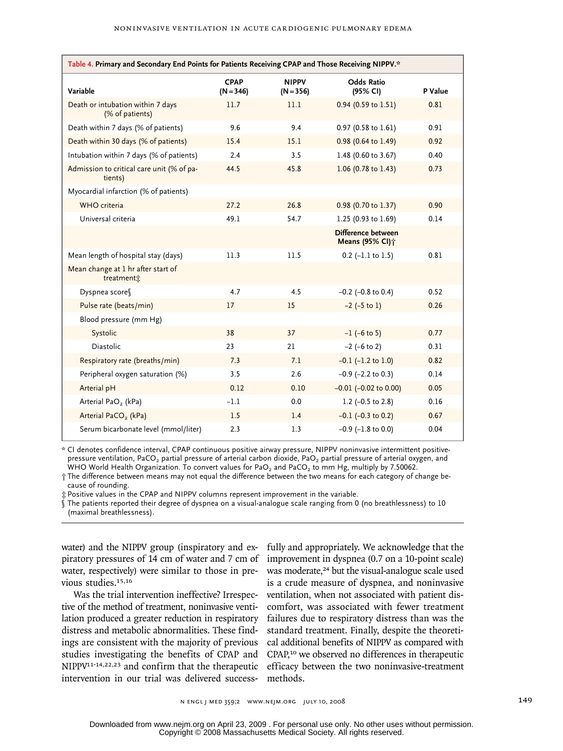| Table 4. Primary and Secondary End Points for Patients Receiving CPAP and Those Receiving NIPPV.* |                            |                             |                                              |         |
|---------------------------------------------------------------------------------------------------|----------------------------|-----------------------------|----------------------------------------------|---------|
| Variable                                                                                          | <b>CPAP</b><br>$(N = 346)$ | <b>NIPPV</b><br>$(N = 356)$ | <b>Odds Ratio</b><br>(95% CI)                | P Value |
| Death or intubation within 7 days<br>(% of patients)                                              | 11.7                       | 11.1                        | 0.94 (0.59 to 1.51)                          | 0.81    |
| Death within 7 days (% of patients)                                                               | 9.6                        | 9.4                         | 0.97 (0.58 to 1.61)                          | 0.91    |
| Death within 30 days (% of patients)                                                              | 15.4                       | 15.1                        | 0.98 (0.64 to 1.49)                          | 0.92    |
| Intubation within 7 days (% of patients)                                                          | 2.4                        | 3.5                         | 1.48 (0.60 to 3.67)                          | 0.40    |
| Admission to critical care unit (% of pa-<br>tients)                                              | 44.5                       | 45.8                        | 1.06 (0.78 to 1.43)                          | 0.73    |
| Myocardial infarction (% of patients)                                                             |                            |                             |                                              |         |
| WHO criteria                                                                                      | 27.2                       | 26.8                        | 0.98 (0.70 to 1.37)                          | 0.90    |
| Universal criteria                                                                                | 49.1                       | 54.7                        | 1.25 (0.93 to 1.69)                          | 0.14    |
|                                                                                                   |                            |                             | <b>Difference between</b><br>Means (95% CI); |         |
| Mean length of hospital stay (days)                                                               | 11.3                       | 11.5                        | $0.2$ (-1.1 to 1.5)                          | 0.81    |
| Mean change at 1 hr after start of<br>treatment <sup>*</sup>                                      |                            |                             |                                              |         |
| Dyspnea score                                                                                     | 4.7                        | 4.5                         | $-0.2$ ( $-0.8$ to 0.4)                      | 0.52    |
| Pulse rate (beats/min)                                                                            | 17                         | 15                          | $-2$ ( $-5$ to 1)                            | 0.26    |
| Blood pressure (mm Hg)                                                                            |                            |                             |                                              |         |
| Systolic                                                                                          | 38                         | 37                          | $-1$ (-6 to 5)                               | 0.77    |
| <b>Diastolic</b>                                                                                  | 23                         | 21                          | $-2$ (-6 to 2)                               | 0.31    |
| Respiratory rate (breaths/min)                                                                    | 7.3                        | 7.1                         | $-0.1$ $(-1.2$ to 1.0)                       | 0.82    |
| Peripheral oxygen saturation (%)                                                                  | 3.5                        | 2.6                         | $-0.9$ ( $-2.2$ to 0.3)                      | 0.14    |
| Arterial pH                                                                                       | 0.12                       | 0.10                        | $-0.01$ ( $-0.02$ to 0.00)                   | 0.05    |
| Arterial PaO <sub>2</sub> (kPa)                                                                   | $-1.1$                     | 0.0                         | 1.2 $(-0.5$ to 2.8)                          | 0.16    |
| Arterial PaCO <sub>2</sub> (kPa)                                                                  | 1.5                        | 1.4                         | $-0.1$ ( $-0.3$ to 0.2)                      | 0.67    |
| Serum bicarbonate level (mmol/liter)                                                              | 2.3                        | 1.3                         | $-0.9$ ( $-1.8$ to 0.0)                      | 0.04    |

\* CI denotes confidence interval, CPAP continuous positive airway pressure, NIPPV noninvasive intermittent positivepressure ventilation, PaCO<sub>2</sub> partial pressure of arterial carbon dioxide, PaO<sub>2</sub> partial pressure of arterial oxygen, and WHO World Health Organization. To convert values for PaO<sub>2</sub> and PaCO<sub>2</sub> to mm Hg, multiply by 7.50062.

† The difference between means may not equal the difference between the two means for each category of change because of rounding.

‡ Positive values in the CPAP and NIPPV columns represent improvement in the variable.

§ The patients reported their degree of dyspnea on a visual-analogue scale ranging from 0 (no breathlessness) to 10 (maximal breathlessness).

water) and the NIPPV group (inspiratory and exwater, respectively) were similar to those in previous studies.<sup>15,16</sup>

Was the trial intervention ineffective? Irrespective of the method of treatment, noninvasive ventilation produced a greater reduction in respiratory distress and metabolic abnormalities. These findings are consistent with the majority of previous studies investigating the benefits of CPAP and NIPPV11-14,22,23 and confirm that the therapeutic intervention in our trial was delivered success-

piratory pressures of 14 cm of water and 7 cm of improvement in dyspnea (0.7 on a 10-point scale) fully and appropriately. We acknowledge that the was moderate,<sup>24</sup> but the visual-analogue scale used is a crude measure of dyspnea, and noninvasive ventilation, when not associated with patient discomfort, was associated with fewer treatment failures due to respiratory distress than was the standard treatment. Finally, despite the theoretical additional benefits of NIPPV as compared with CPAP,<sup>10</sup> we observed no differences in therapeutic efficacy between the two noninvasive-treatment methods.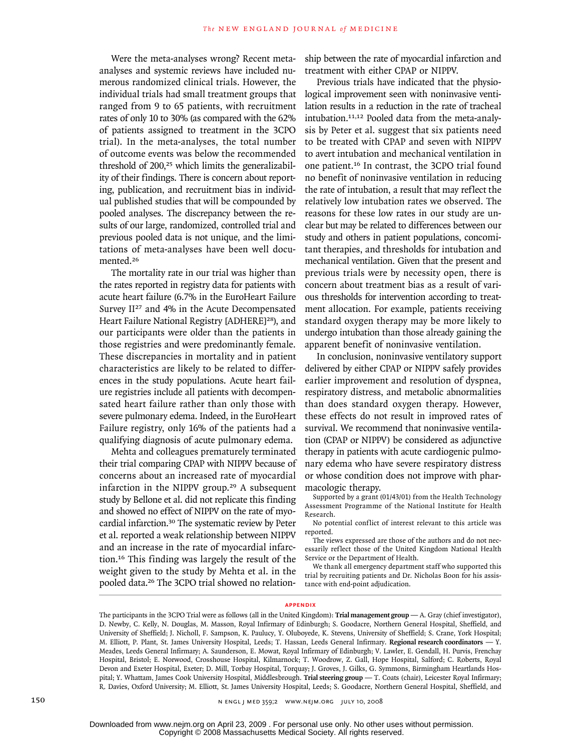Were the meta-analyses wrong? Recent metaanalyses and systemic reviews have included numerous randomized clinical trials. However, the individual trials had small treatment groups that ranged from 9 to 65 patients, with recruitment rates of only 10 to 30% (as compared with the 62% of patients assigned to treatment in the 3CPO trial). In the meta-analyses, the total number of outcome events was below the recommended threshold of 200,<sup>25</sup> which limits the generalizability of their findings. There is concern about reporting, publication, and recruitment bias in individual published studies that will be compounded by pooled analyses. The discrepancy between the results of our large, randomized, controlled trial and previous pooled data is not unique, and the limitations of meta-analyses have been well documented.<sup>26</sup>

The mortality rate in our trial was higher than the rates reported in registry data for patients with acute heart failure (6.7% in the EuroHeart Failure Survey II<sup>27</sup> and 4% in the Acute Decompensated Heart Failure National Registry [ADHERE]<sup>28</sup>), and our participants were older than the patients in those registries and were predominantly female. These discrepancies in mortality and in patient characteristics are likely to be related to differences in the study populations. Acute heart failure registries include all patients with decompensated heart failure rather than only those with severe pulmonary edema. Indeed, in the EuroHeart Failure registry, only 16% of the patients had a qualifying diagnosis of acute pulmonary edema.

Mehta and colleagues prematurely terminated their trial comparing CPAP with NIPPV because of concerns about an increased rate of myocardial infarction in the NIPPV group.<sup>29</sup> A subsequent study by Bellone et al. did not replicate this finding and showed no effect of NIPPV on the rate of myocardial infarction.30 The systematic review by Peter et al. reported a weak relationship between NIPPV and an increase in the rate of myocardial infarction.16 This finding was largely the result of the weight given to the study by Mehta et al. in the pooled data.26 The 3CPO trial showed no relationship between the rate of myocardial infarction and treatment with either CPAP or NIPPV.

Previous trials have indicated that the physiological improvement seen with noninvasive ventilation results in a reduction in the rate of tracheal intubation.11,12 Pooled data from the meta-analysis by Peter et al. suggest that six patients need to be treated with CPAP and seven with NIPPV to avert intubation and mechanical ventilation in one patient.16 In contrast, the 3CPO trial found no benefit of noninvasive ventilation in reducing the rate of intubation, a result that may reflect the relatively low intubation rates we observed. The reasons for these low rates in our study are unclear but may be related to differences between our study and others in patient populations, concomitant therapies, and thresholds for intubation and mechanical ventilation. Given that the present and previous trials were by necessity open, there is concern about treatment bias as a result of various thresholds for intervention according to treatment allocation. For example, patients receiving standard oxygen therapy may be more likely to undergo intubation than those already gaining the apparent benefit of noninvasive ventilation.

In conclusion, noninvasive ventilatory support delivered by either CPAP or NIPPV safely provides earlier improvement and resolution of dyspnea, respiratory distress, and metabolic abnormalities than does standard oxygen therapy. However, these effects do not result in improved rates of survival. We recommend that noninvasive ventilation (CPAP or NIPPV) be considered as adjunctive therapy in patients with acute cardiogenic pulmonary edema who have severe respiratory distress or whose condition does not improve with pharmacologic therapy.

Supported by a grant (01/43/01) from the Health Technology Assessment Programme of the National Institute for Health Research.

No potential conflict of interest relevant to this article was reported.

The views expressed are those of the authors and do not necessarily reflect those of the United Kingdom National Health Service or the Department of Health.

We thank all emergency department staff who supported this trial by recruiting patients and Dr. Nicholas Boon for his assistance with end-point adjudication.

#### **Appendix**

The participants in the 3CPO Trial were as follows (all in the United Kingdom): **Trial management group** — A. Gray (chief investigator), D. Newby, C. Kelly, N. Douglas, M. Masson, Royal Infirmary of Edinburgh; S. Goodacre, Northern General Hospital, Sheffield, and University of Sheffield; J. Nicholl, F. Sampson, K. Paulucy, Y. Oluboyede, K. Stevens, University of Sheffield; S. Crane, York Hospital; M. Elliott, P. Plant, St. James University Hospital, Leeds; T. Hassan, Leeds General Infirmary. **Regional research coordinators** — Y. Meades, Leeds General Infirmary; A. Saunderson, E. Mowat, Royal Infirmary of Edinburgh; V. Lawler, E. Gendall, H. Purvis, Frenchay Hospital, Bristol; E. Norwood, Crosshouse Hospital, Kilmarnock; T. Woodrow, Z. Gall, Hope Hospital, Salford; C. Roberts, Royal Devon and Exeter Hospital, Exeter; D. Mill, Torbay Hospital, Torquay; J. Groves, J. Gilks, G. Symmons, Birmingham Heartlands Hospital; Y. Whattam, James Cook University Hospital, Middlesbrough. **Trial steering group** — T. Coats (chair), Leicester Royal Infirmary; R. Davies, Oxford University; M. Elliott, St. James University Hospital, Leeds; S. Goodacre, Northern General Hospital, Sheffield, and

<sup>150</sup> n engl j med 359;2 www.nejm.org july 10, 2008